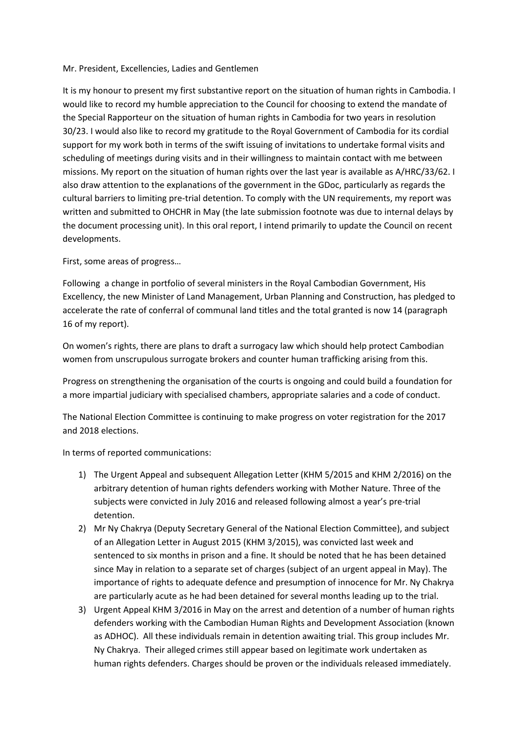## Mr. President, Excellencies, Ladies and Gentlemen

It is my honour to present my first substantive report on the situation of human rights in Cambodia. I would like to record my humble appreciation to the Council for choosing to extend the mandate of the Special Rapporteur on the situation of human rights in Cambodia for two years in resolution 30/23. I would also like to record my gratitude to the Royal Government of Cambodia for its cordial support for my work both in terms of the swift issuing of invitations to undertake formal visits and scheduling of meetings during visits and in their willingness to maintain contact with me between missions. My report on the situation of human rights over the last year is available as A/HRC/33/62. I also draw attention to the explanations of the government in the GDoc, particularly as regards the cultural barriers to limiting pre-trial detention. To comply with the UN requirements, my report was written and submitted to OHCHR in May (the late submission footnote was due to internal delays by the document processing unit). In this oral report, I intend primarily to update the Council on recent developments.

## First, some areas of progress…

Following a change in portfolio of several ministers in the Royal Cambodian Government, His Excellency, the new Minister of Land Management, Urban Planning and Construction, has pledged to accelerate the rate of conferral of communal land titles and the total granted is now 14 (paragraph 16 of my report).

On women's rights, there are plans to draft a surrogacy law which should help protect Cambodian women from unscrupulous surrogate brokers and counter human trafficking arising from this.

Progress on strengthening the organisation of the courts is ongoing and could build a foundation for a more impartial judiciary with specialised chambers, appropriate salaries and a code of conduct.

The National Election Committee is continuing to make progress on voter registration for the 2017 and 2018 elections.

In terms of reported communications:

- 1) The Urgent Appeal and subsequent Allegation Letter (KHM 5/2015 and KHM 2/2016) on the arbitrary detention of human rights defenders working with Mother Nature. Three of the subjects were convicted in July 2016 and released following almost a year's pre-trial detention.
- 2) Mr Ny Chakrya (Deputy Secretary General of the National Election Committee), and subject of an Allegation Letter in August 2015 (KHM 3/2015), was convicted last week and sentenced to six months in prison and a fine. It should be noted that he has been detained since May in relation to a separate set of charges (subject of an urgent appeal in May). The importance of rights to adequate defence and presumption of innocence for Mr. Ny Chakrya are particularly acute as he had been detained for several months leading up to the trial.
- 3) Urgent Appeal KHM 3/2016 in May on the arrest and detention of a number of human rights defenders working with the Cambodian Human Rights and Development Association (known as ADHOC). All these individuals remain in detention awaiting trial. This group includes Mr. Ny Chakrya. Their alleged crimes still appear based on legitimate work undertaken as human rights defenders. Charges should be proven or the individuals released immediately.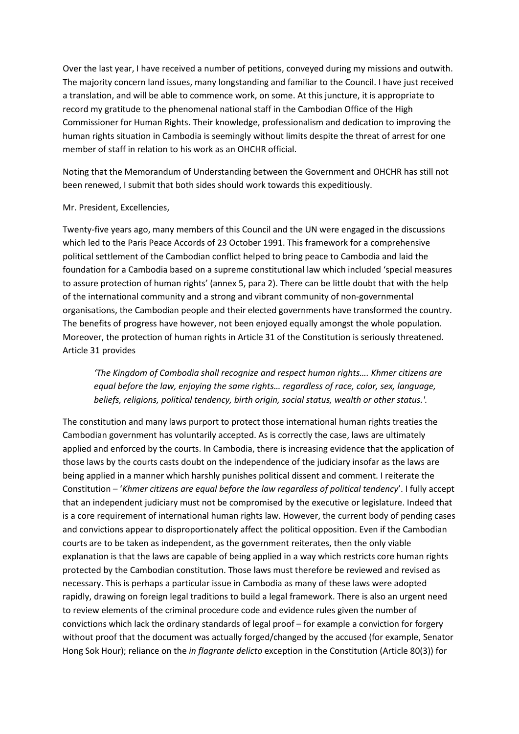Over the last year, I have received a number of petitions, conveyed during my missions and outwith. The majority concern land issues, many longstanding and familiar to the Council. I have just received a translation, and will be able to commence work, on some. At this juncture, it is appropriate to record my gratitude to the phenomenal national staff in the Cambodian Office of the High Commissioner for Human Rights. Their knowledge, professionalism and dedication to improving the human rights situation in Cambodia is seemingly without limits despite the threat of arrest for one member of staff in relation to his work as an OHCHR official.

Noting that the Memorandum of Understanding between the Government and OHCHR has still not been renewed, I submit that both sides should work towards this expeditiously.

## Mr. President, Excellencies,

Twenty-five years ago, many members of this Council and the UN were engaged in the discussions which led to the Paris Peace Accords of 23 October 1991. This framework for a comprehensive political settlement of the Cambodian conflict helped to bring peace to Cambodia and laid the foundation for a Cambodia based on a supreme constitutional law which included 'special measures to assure protection of human rights' (annex 5, para 2). There can be little doubt that with the help of the international community and a strong and vibrant community of non-governmental organisations, the Cambodian people and their elected governments have transformed the country. The benefits of progress have however, not been enjoyed equally amongst the whole population. Moreover, the protection of human rights in Article 31 of the Constitution is seriously threatened. Article 31 provides

*'The Kingdom of Cambodia shall recognize and respect human rights…. Khmer citizens are equal before the law, enjoying the same rights… regardless of race, color, sex, language, beliefs, religions, political tendency, birth origin, social status, wealth or other status.'.*

The constitution and many laws purport to protect those international human rights treaties the Cambodian government has voluntarily accepted. As is correctly the case, laws are ultimately applied and enforced by the courts. In Cambodia, there is increasing evidence that the application of those laws by the courts casts doubt on the independence of the judiciary insofar as the laws are being applied in a manner which harshly punishes political dissent and comment. I reiterate the Constitution – '*Khmer citizens are equal before the law regardless of political tendency*'. I fully accept that an independent judiciary must not be compromised by the executive or legislature. Indeed that is a core requirement of international human rights law. However, the current body of pending cases and convictions appear to disproportionately affect the political opposition. Even if the Cambodian courts are to be taken as independent, as the government reiterates, then the only viable explanation is that the laws are capable of being applied in a way which restricts core human rights protected by the Cambodian constitution. Those laws must therefore be reviewed and revised as necessary. This is perhaps a particular issue in Cambodia as many of these laws were adopted rapidly, drawing on foreign legal traditions to build a legal framework. There is also an urgent need to review elements of the criminal procedure code and evidence rules given the number of convictions which lack the ordinary standards of legal proof – for example a conviction for forgery without proof that the document was actually forged/changed by the accused (for example, Senator Hong Sok Hour); reliance on the *in flagrante delicto* exception in the Constitution (Article 80(3)) for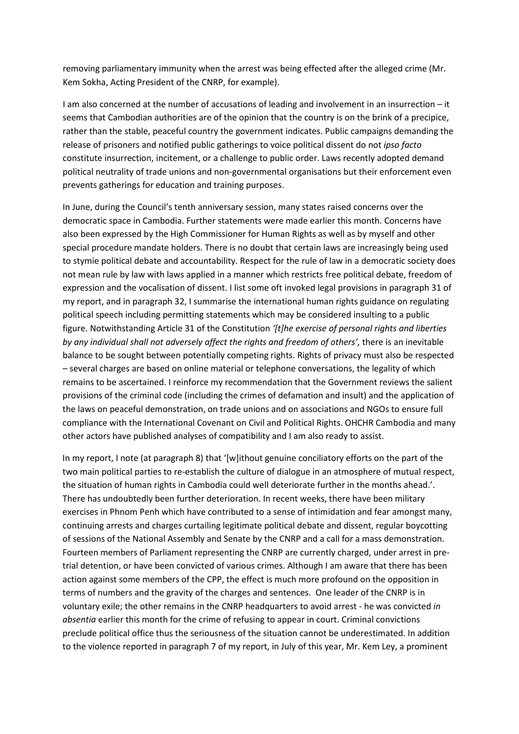removing parliamentary immunity when the arrest was being effected after the alleged crime (Mr. Kem Sokha, Acting President of the CNRP, for example).

I am also concerned at the number of accusations of leading and involvement in an insurrection – it seems that Cambodian authorities are of the opinion that the country is on the brink of a precipice, rather than the stable, peaceful country the government indicates. Public campaigns demanding the release of prisoners and notified public gatherings to voice political dissent do not *ipso facto* constitute insurrection, incitement, or a challenge to public order. Laws recently adopted demand political neutrality of trade unions and non-governmental organisations but their enforcement even prevents gatherings for education and training purposes.

In June, during the Council's tenth anniversary session, many states raised concerns over the democratic space in Cambodia. Further statements were made earlier this month. Concerns have also been expressed by the High Commissioner for Human Rights as well as by myself and other special procedure mandate holders. There is no doubt that certain laws are increasingly being used to stymie political debate and accountability. Respect for the rule of law in a democratic society does not mean rule by law with laws applied in a manner which restricts free political debate, freedom of expression and the vocalisation of dissent. I list some oft invoked legal provisions in paragraph 31 of my report, and in paragraph 32, I summarise the international human rights guidance on regulating political speech including permitting statements which may be considered insulting to a public figure. Notwithstanding Article 31 of the Constitution *'[t]he exercise of personal rights and liberties by any individual shall not adversely affect the rights and freedom of others',* there is an inevitable balance to be sought between potentially competing rights. Rights of privacy must also be respected – several charges are based on online material or telephone conversations, the legality of which remains to be ascertained. I reinforce my recommendation that the Government reviews the salient provisions of the criminal code (including the crimes of defamation and insult) and the application of the laws on peaceful demonstration, on trade unions and on associations and NGOs to ensure full compliance with the International Covenant on Civil and Political Rights. OHCHR Cambodia and many other actors have published analyses of compatibility and I am also ready to assist.

In my report, I note (at paragraph 8) that '[w]ithout genuine conciliatory efforts on the part of the two main political parties to re-establish the culture of dialogue in an atmosphere of mutual respect, the situation of human rights in Cambodia could well deteriorate further in the months ahead.'. There has undoubtedly been further deterioration. In recent weeks, there have been military exercises in Phnom Penh which have contributed to a sense of intimidation and fear amongst many, continuing arrests and charges curtailing legitimate political debate and dissent, regular boycotting of sessions of the National Assembly and Senate by the CNRP and a call for a mass demonstration. Fourteen members of Parliament representing the CNRP are currently charged, under arrest in pretrial detention, or have been convicted of various crimes. Although I am aware that there has been action against some members of the CPP, the effect is much more profound on the opposition in terms of numbers and the gravity of the charges and sentences. One leader of the CNRP is in voluntary exile; the other remains in the CNRP headquarters to avoid arrest - he was convicted *in absentia* earlier this month for the crime of refusing to appear in court. Criminal convictions preclude political office thus the seriousness of the situation cannot be underestimated. In addition to the violence reported in paragraph 7 of my report, in July of this year, Mr. Kem Ley, a prominent